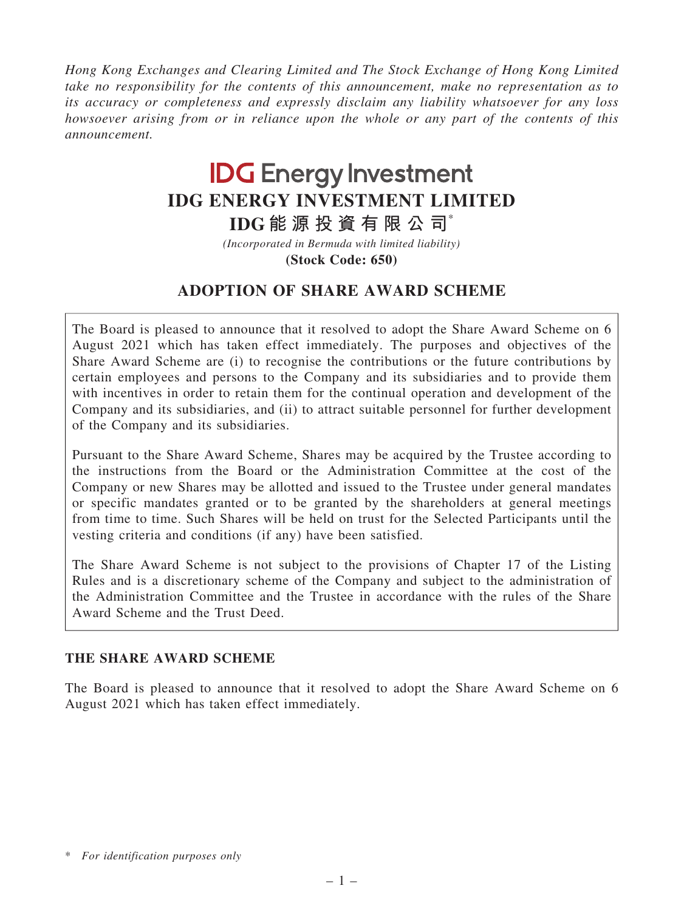Hong Kong Exchanges and Clearing Limited and The Stock Exchange of Hong Kong Limited take no responsibility for the contents of this announcement, make no representation as to its accuracy or completeness and expressly disclaim any liability whatsoever for any loss howsoever arising from or in reliance upon the whole or any part of the contents of this announcement.

# **IDG Energy Investment IDG ENERGY INVESTMENT LIMITED**

**IDG 能 源 投 資 有 限 公 司**\*

**(Stock Code: 650)** *(Incorporated in Bermuda with limited liability)*

# ADOPTION OF SHARE AWARD SCHEME

The Board is pleased to announce that it resolved to adopt the Share Award Scheme on 6 August 2021 which has taken effect immediately. The purposes and objectives of the Share Award Scheme are (i) to recognise the contributions or the future contributions by certain employees and persons to the Company and its subsidiaries and to provide them with incentives in order to retain them for the continual operation and development of the Company and its subsidiaries, and (ii) to attract suitable personnel for further development of the Company and its subsidiaries.

Pursuant to the Share Award Scheme, Shares may be acquired by the Trustee according to the instructions from the Board or the Administration Committee at the cost of the Company or new Shares may be allotted and issued to the Trustee under general mandates or specific mandates granted or to be granted by the shareholders at general meetings from time to time. Such Shares will be held on trust for the Selected Participants until the vesting criteria and conditions (if any) have been satisfied.

The Share Award Scheme is not subject to the provisions of Chapter 17 of the Listing Rules and is a discretionary scheme of the Company and subject to the administration of the Administration Committee and the Trustee in accordance with the rules of the Share Award Scheme and the Trust Deed.

# THE SHARE AWARD SCHEME

The Board is pleased to announce that it resolved to adopt the Share Award Scheme on 6 August 2021 which has taken effect immediately.

<sup>\*</sup> For identification purposes only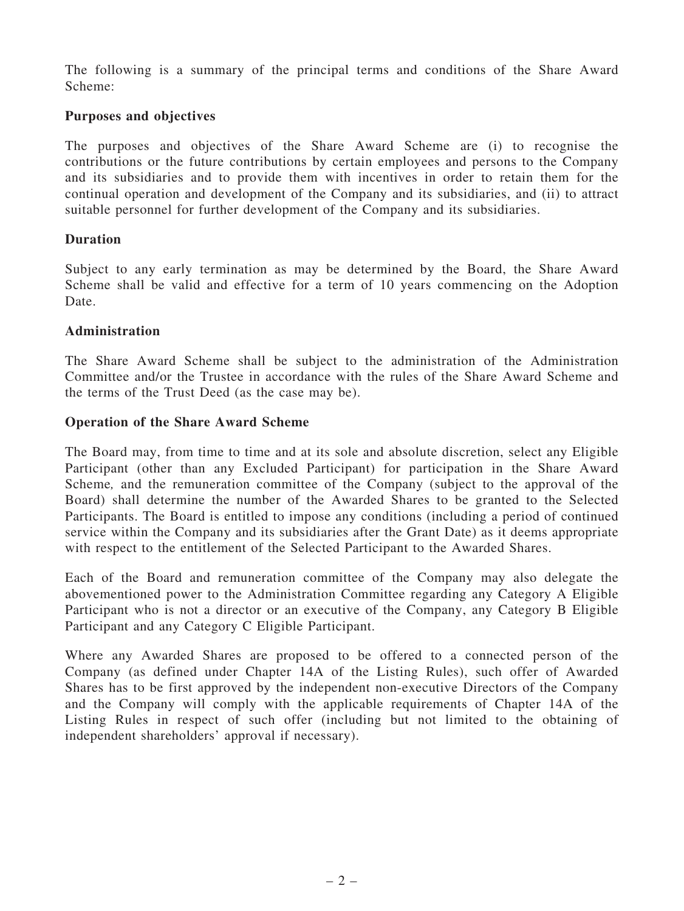The following is a summary of the principal terms and conditions of the Share Award Scheme:

# Purposes and objectives

The purposes and objectives of the Share Award Scheme are (i) to recognise the contributions or the future contributions by certain employees and persons to the Company and its subsidiaries and to provide them with incentives in order to retain them for the continual operation and development of the Company and its subsidiaries, and (ii) to attract suitable personnel for further development of the Company and its subsidiaries.

# Duration

Subject to any early termination as may be determined by the Board, the Share Award Scheme shall be valid and effective for a term of 10 years commencing on the Adoption Date.

#### Administration

The Share Award Scheme shall be subject to the administration of the Administration Committee and/or the Trustee in accordance with the rules of the Share Award Scheme and the terms of the Trust Deed (as the case may be).

#### Operation of the Share Award Scheme

The Board may, from time to time and at its sole and absolute discretion, select any Eligible Participant (other than any Excluded Participant) for participation in the Share Award Scheme, and the remuneration committee of the Company (subject to the approval of the Board) shall determine the number of the Awarded Shares to be granted to the Selected Participants. The Board is entitled to impose any conditions (including a period of continued service within the Company and its subsidiaries after the Grant Date) as it deems appropriate with respect to the entitlement of the Selected Participant to the Awarded Shares.

Each of the Board and remuneration committee of the Company may also delegate the abovementioned power to the Administration Committee regarding any Category A Eligible Participant who is not a director or an executive of the Company, any Category B Eligible Participant and any Category C Eligible Participant.

Where any Awarded Shares are proposed to be offered to a connected person of the Company (as defined under Chapter 14A of the Listing Rules), such offer of Awarded Shares has to be first approved by the independent non-executive Directors of the Company and the Company will comply with the applicable requirements of Chapter 14A of the Listing Rules in respect of such offer (including but not limited to the obtaining of independent shareholders' approval if necessary).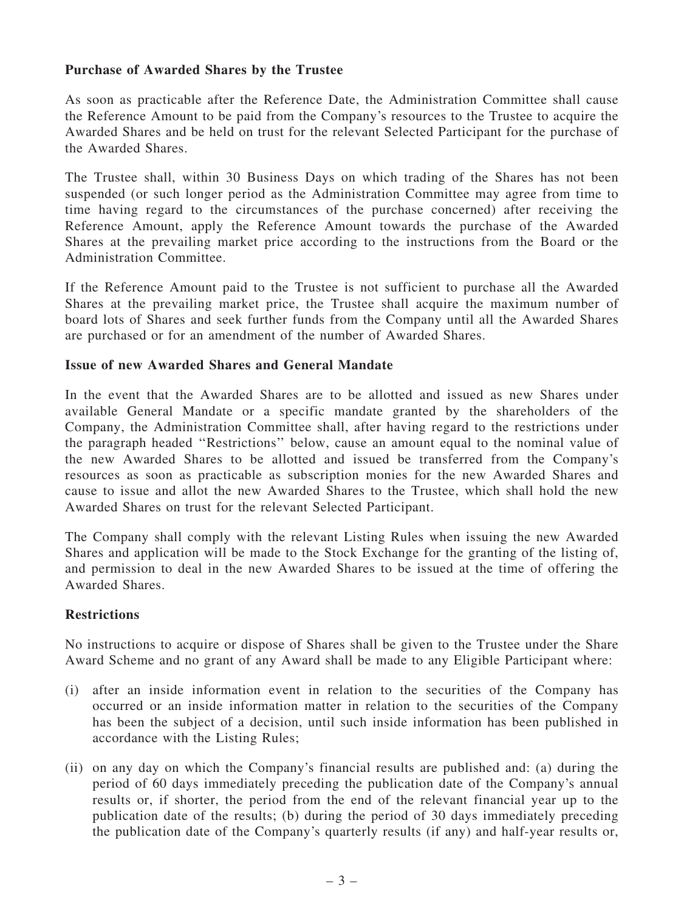# Purchase of Awarded Shares by the Trustee

As soon as practicable after the Reference Date, the Administration Committee shall cause the Reference Amount to be paid from the Company's resources to the Trustee to acquire the Awarded Shares and be held on trust for the relevant Selected Participant for the purchase of the Awarded Shares.

The Trustee shall, within 30 Business Days on which trading of the Shares has not been suspended (or such longer period as the Administration Committee may agree from time to time having regard to the circumstances of the purchase concerned) after receiving the Reference Amount, apply the Reference Amount towards the purchase of the Awarded Shares at the prevailing market price according to the instructions from the Board or the Administration Committee.

If the Reference Amount paid to the Trustee is not sufficient to purchase all the Awarded Shares at the prevailing market price, the Trustee shall acquire the maximum number of board lots of Shares and seek further funds from the Company until all the Awarded Shares are purchased or for an amendment of the number of Awarded Shares.

#### Issue of new Awarded Shares and General Mandate

In the event that the Awarded Shares are to be allotted and issued as new Shares under available General Mandate or a specific mandate granted by the shareholders of the Company, the Administration Committee shall, after having regard to the restrictions under the paragraph headed ''Restrictions'' below, cause an amount equal to the nominal value of the new Awarded Shares to be allotted and issued be transferred from the Company's resources as soon as practicable as subscription monies for the new Awarded Shares and cause to issue and allot the new Awarded Shares to the Trustee, which shall hold the new Awarded Shares on trust for the relevant Selected Participant.

The Company shall comply with the relevant Listing Rules when issuing the new Awarded Shares and application will be made to the Stock Exchange for the granting of the listing of, and permission to deal in the new Awarded Shares to be issued at the time of offering the Awarded Shares.

#### Restrictions

No instructions to acquire or dispose of Shares shall be given to the Trustee under the Share Award Scheme and no grant of any Award shall be made to any Eligible Participant where:

- (i) after an inside information event in relation to the securities of the Company has occurred or an inside information matter in relation to the securities of the Company has been the subject of a decision, until such inside information has been published in accordance with the Listing Rules;
- (ii) on any day on which the Company's financial results are published and: (a) during the period of 60 days immediately preceding the publication date of the Company's annual results or, if shorter, the period from the end of the relevant financial year up to the publication date of the results; (b) during the period of 30 days immediately preceding the publication date of the Company's quarterly results (if any) and half-year results or,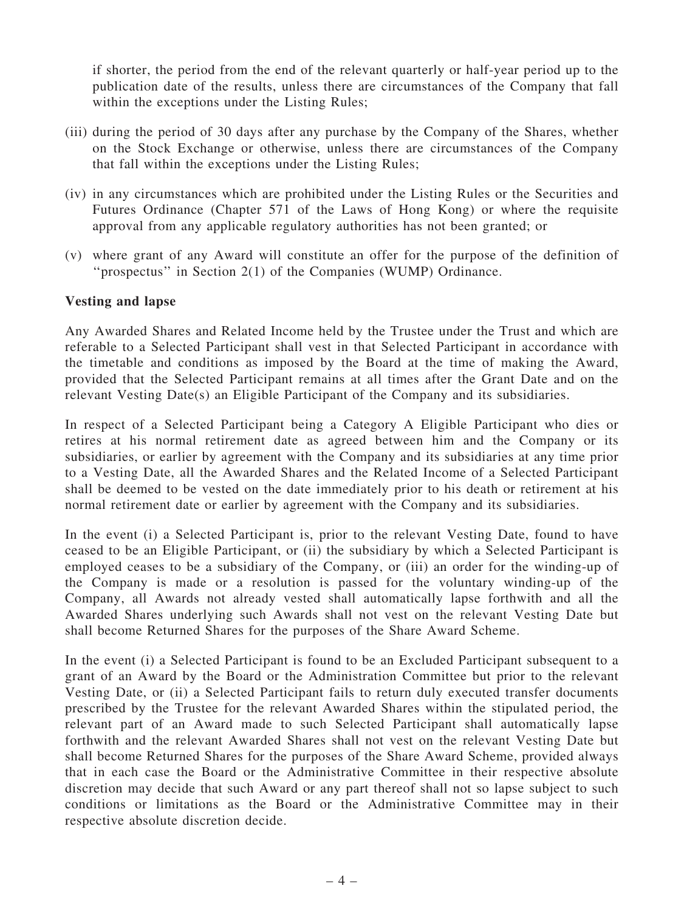if shorter, the period from the end of the relevant quarterly or half-year period up to the publication date of the results, unless there are circumstances of the Company that fall within the exceptions under the Listing Rules;

- (iii) during the period of 30 days after any purchase by the Company of the Shares, whether on the Stock Exchange or otherwise, unless there are circumstances of the Company that fall within the exceptions under the Listing Rules;
- (iv) in any circumstances which are prohibited under the Listing Rules or the Securities and Futures Ordinance (Chapter 571 of the Laws of Hong Kong) or where the requisite approval from any applicable regulatory authorities has not been granted; or
- (v) where grant of any Award will constitute an offer for the purpose of the definition of ''prospectus'' in Section 2(1) of the Companies (WUMP) Ordinance.

#### Vesting and lapse

Any Awarded Shares and Related Income held by the Trustee under the Trust and which are referable to a Selected Participant shall vest in that Selected Participant in accordance with the timetable and conditions as imposed by the Board at the time of making the Award, provided that the Selected Participant remains at all times after the Grant Date and on the relevant Vesting Date(s) an Eligible Participant of the Company and its subsidiaries.

In respect of a Selected Participant being a Category A Eligible Participant who dies or retires at his normal retirement date as agreed between him and the Company or its subsidiaries, or earlier by agreement with the Company and its subsidiaries at any time prior to a Vesting Date, all the Awarded Shares and the Related Income of a Selected Participant shall be deemed to be vested on the date immediately prior to his death or retirement at his normal retirement date or earlier by agreement with the Company and its subsidiaries.

In the event (i) a Selected Participant is, prior to the relevant Vesting Date, found to have ceased to be an Eligible Participant, or (ii) the subsidiary by which a Selected Participant is employed ceases to be a subsidiary of the Company, or (iii) an order for the winding-up of the Company is made or a resolution is passed for the voluntary winding-up of the Company, all Awards not already vested shall automatically lapse forthwith and all the Awarded Shares underlying such Awards shall not vest on the relevant Vesting Date but shall become Returned Shares for the purposes of the Share Award Scheme.

In the event (i) a Selected Participant is found to be an Excluded Participant subsequent to a grant of an Award by the Board or the Administration Committee but prior to the relevant Vesting Date, or (ii) a Selected Participant fails to return duly executed transfer documents prescribed by the Trustee for the relevant Awarded Shares within the stipulated period, the relevant part of an Award made to such Selected Participant shall automatically lapse forthwith and the relevant Awarded Shares shall not vest on the relevant Vesting Date but shall become Returned Shares for the purposes of the Share Award Scheme, provided always that in each case the Board or the Administrative Committee in their respective absolute discretion may decide that such Award or any part thereof shall not so lapse subject to such conditions or limitations as the Board or the Administrative Committee may in their respective absolute discretion decide.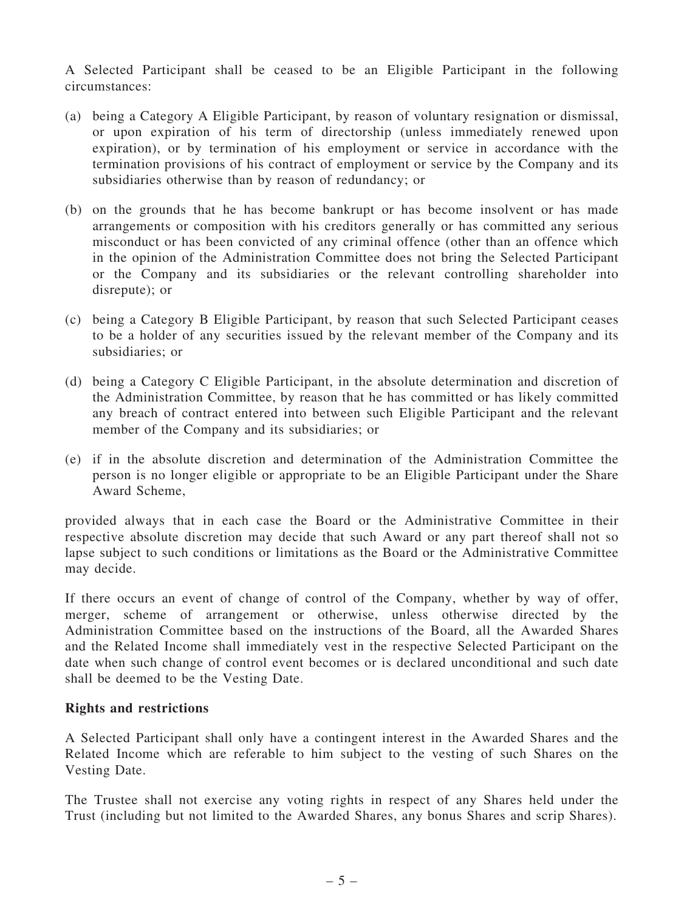A Selected Participant shall be ceased to be an Eligible Participant in the following circumstances:

- (a) being a Category A Eligible Participant, by reason of voluntary resignation or dismissal, or upon expiration of his term of directorship (unless immediately renewed upon expiration), or by termination of his employment or service in accordance with the termination provisions of his contract of employment or service by the Company and its subsidiaries otherwise than by reason of redundancy; or
- (b) on the grounds that he has become bankrupt or has become insolvent or has made arrangements or composition with his creditors generally or has committed any serious misconduct or has been convicted of any criminal offence (other than an offence which in the opinion of the Administration Committee does not bring the Selected Participant or the Company and its subsidiaries or the relevant controlling shareholder into disrepute); or
- (c) being a Category B Eligible Participant, by reason that such Selected Participant ceases to be a holder of any securities issued by the relevant member of the Company and its subsidiaries; or
- (d) being a Category C Eligible Participant, in the absolute determination and discretion of the Administration Committee, by reason that he has committed or has likely committed any breach of contract entered into between such Eligible Participant and the relevant member of the Company and its subsidiaries; or
- (e) if in the absolute discretion and determination of the Administration Committee the person is no longer eligible or appropriate to be an Eligible Participant under the Share Award Scheme,

provided always that in each case the Board or the Administrative Committee in their respective absolute discretion may decide that such Award or any part thereof shall not so lapse subject to such conditions or limitations as the Board or the Administrative Committee may decide.

If there occurs an event of change of control of the Company, whether by way of offer, merger, scheme of arrangement or otherwise, unless otherwise directed by the Administration Committee based on the instructions of the Board, all the Awarded Shares and the Related Income shall immediately vest in the respective Selected Participant on the date when such change of control event becomes or is declared unconditional and such date shall be deemed to be the Vesting Date.

#### Rights and restrictions

A Selected Participant shall only have a contingent interest in the Awarded Shares and the Related Income which are referable to him subject to the vesting of such Shares on the Vesting Date.

The Trustee shall not exercise any voting rights in respect of any Shares held under the Trust (including but not limited to the Awarded Shares, any bonus Shares and scrip Shares).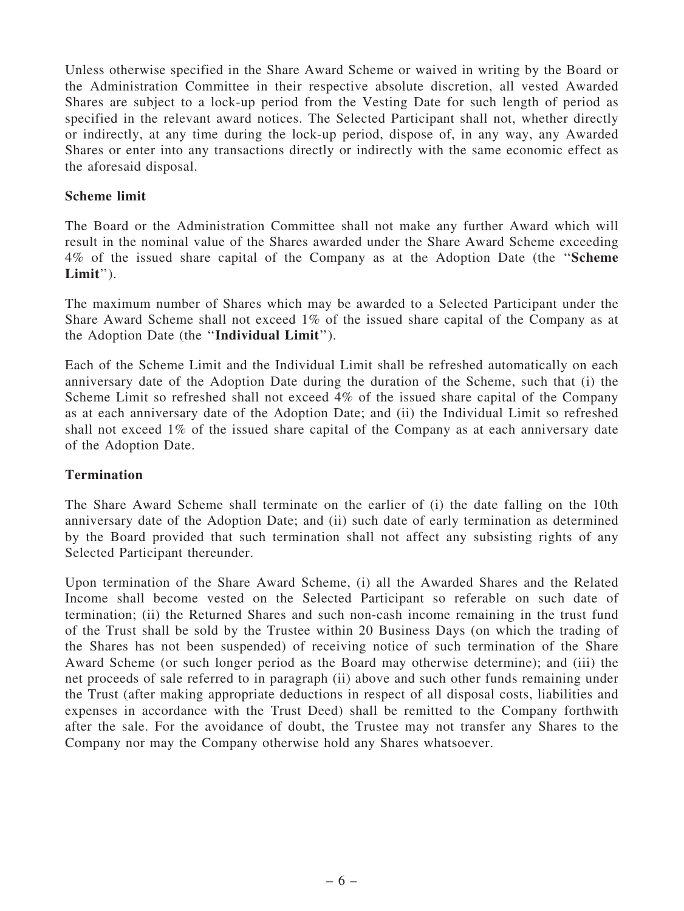Unless otherwise specified in the Share Award Scheme or waived in writing by the Board or the Administration Committee in their respective absolute discretion, all vested Awarded Shares are subject to a lock-up period from the Vesting Date for such length of period as specified in the relevant award notices. The Selected Participant shall not, whether directly or indirectly, at any time during the lock-up period, dispose of, in any way, any Awarded Shares or enter into any transactions directly or indirectly with the same economic effect as the aforesaid disposal.

# Scheme limit

The Board or the Administration Committee shall not make any further Award which will result in the nominal value of the Shares awarded under the Share Award Scheme exceeding 4% of the issued share capital of the Company as at the Adoption Date (the ''Scheme Limit").

The maximum number of Shares which may be awarded to a Selected Participant under the Share Award Scheme shall not exceed 1% of the issued share capital of the Company as at the Adoption Date (the ''Individual Limit'').

Each of the Scheme Limit and the Individual Limit shall be refreshed automatically on each anniversary date of the Adoption Date during the duration of the Scheme, such that (i) the Scheme Limit so refreshed shall not exceed 4% of the issued share capital of the Company as at each anniversary date of the Adoption Date; and (ii) the Individual Limit so refreshed shall not exceed 1% of the issued share capital of the Company as at each anniversary date of the Adoption Date.

# **Termination**

The Share Award Scheme shall terminate on the earlier of (i) the date falling on the 10th anniversary date of the Adoption Date; and (ii) such date of early termination as determined by the Board provided that such termination shall not affect any subsisting rights of any Selected Participant thereunder.

Upon termination of the Share Award Scheme, (i) all the Awarded Shares and the Related Income shall become vested on the Selected Participant so referable on such date of termination; (ii) the Returned Shares and such non-cash income remaining in the trust fund of the Trust shall be sold by the Trustee within 20 Business Days (on which the trading of the Shares has not been suspended) of receiving notice of such termination of the Share Award Scheme (or such longer period as the Board may otherwise determine); and (iii) the net proceeds of sale referred to in paragraph (ii) above and such other funds remaining under the Trust (after making appropriate deductions in respect of all disposal costs, liabilities and expenses in accordance with the Trust Deed) shall be remitted to the Company forthwith after the sale. For the avoidance of doubt, the Trustee may not transfer any Shares to the Company nor may the Company otherwise hold any Shares whatsoever.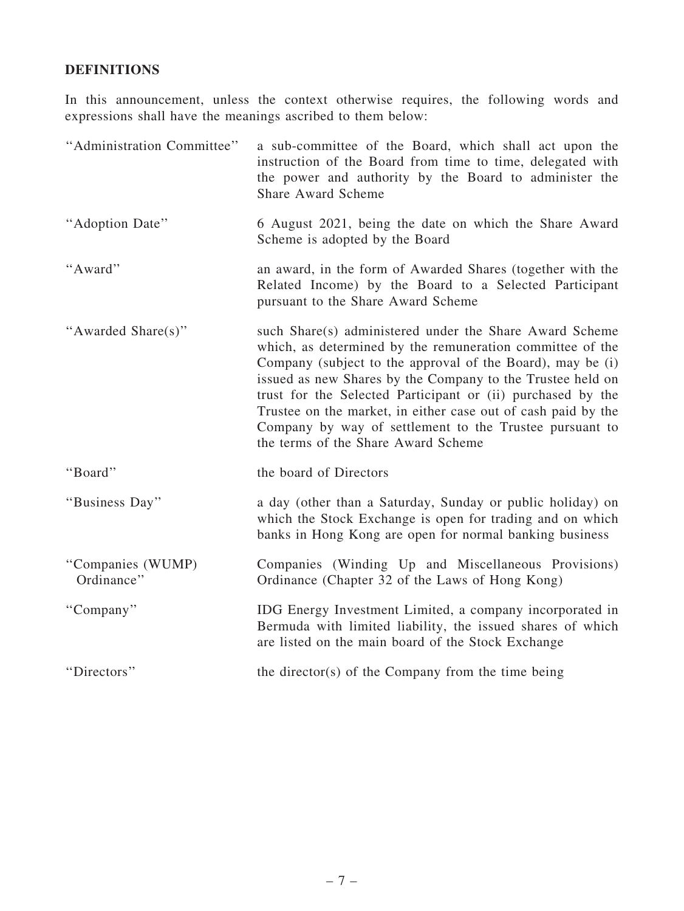# DEFINITIONS

In this announcement, unless the context otherwise requires, the following words and expressions shall have the meanings ascribed to them below:

| "Administration Committee"      | a sub-committee of the Board, which shall act upon the<br>instruction of the Board from time to time, delegated with<br>the power and authority by the Board to administer the<br><b>Share Award Scheme</b>                                                                                                                                                                                                                                                                        |
|---------------------------------|------------------------------------------------------------------------------------------------------------------------------------------------------------------------------------------------------------------------------------------------------------------------------------------------------------------------------------------------------------------------------------------------------------------------------------------------------------------------------------|
| "Adoption Date"                 | 6 August 2021, being the date on which the Share Award<br>Scheme is adopted by the Board                                                                                                                                                                                                                                                                                                                                                                                           |
| "Award"                         | an award, in the form of Awarded Shares (together with the<br>Related Income) by the Board to a Selected Participant<br>pursuant to the Share Award Scheme                                                                                                                                                                                                                                                                                                                         |
| "Awarded Share(s)"              | such Share(s) administered under the Share Award Scheme<br>which, as determined by the remuneration committee of the<br>Company (subject to the approval of the Board), may be (i)<br>issued as new Shares by the Company to the Trustee held on<br>trust for the Selected Participant or (ii) purchased by the<br>Trustee on the market, in either case out of cash paid by the<br>Company by way of settlement to the Trustee pursuant to<br>the terms of the Share Award Scheme |
| "Board"                         | the board of Directors                                                                                                                                                                                                                                                                                                                                                                                                                                                             |
| "Business Day"                  | a day (other than a Saturday, Sunday or public holiday) on<br>which the Stock Exchange is open for trading and on which<br>banks in Hong Kong are open for normal banking business                                                                                                                                                                                                                                                                                                 |
| "Companies (WUMP)<br>Ordinance" | Companies (Winding Up and Miscellaneous Provisions)<br>Ordinance (Chapter 32 of the Laws of Hong Kong)                                                                                                                                                                                                                                                                                                                                                                             |
| "Company"                       | IDG Energy Investment Limited, a company incorporated in<br>Bermuda with limited liability, the issued shares of which<br>are listed on the main board of the Stock Exchange                                                                                                                                                                                                                                                                                                       |
| "Directors"                     | the director(s) of the Company from the time being                                                                                                                                                                                                                                                                                                                                                                                                                                 |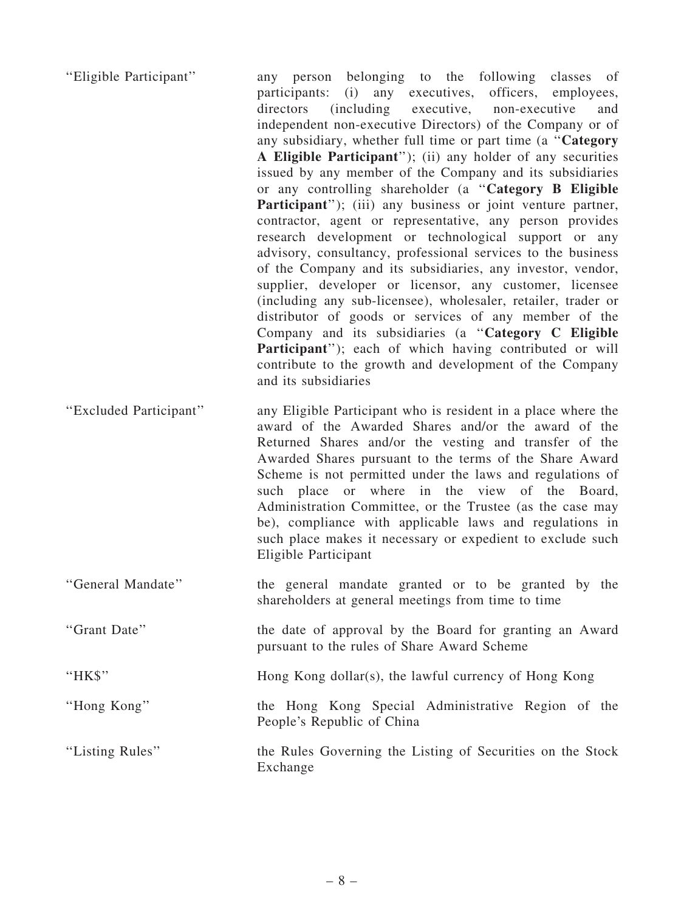| "Eligible Participant" | any person belonging to the following classes of<br>participants: (i) any executives, officers, employees,<br>(including executive, non-executive<br>directors<br>and<br>independent non-executive Directors) of the Company or of<br>any subsidiary, whether full time or part time (a "Category<br>A Eligible Participant"); (ii) any holder of any securities<br>issued by any member of the Company and its subsidiaries<br>or any controlling shareholder (a "Category B Eligible<br>Participant"); (iii) any business or joint venture partner,<br>contractor, agent or representative, any person provides<br>research development or technological support or any<br>advisory, consultancy, professional services to the business<br>of the Company and its subsidiaries, any investor, vendor,<br>supplier, developer or licensor, any customer, licensee<br>(including any sub-licensee), wholesaler, retailer, trader or<br>distributor of goods or services of any member of the<br>Company and its subsidiaries (a "Category C Eligible<br><b>Participant</b> "); each of which having contributed or will<br>contribute to the growth and development of the Company<br>and its subsidiaries |
|------------------------|------------------------------------------------------------------------------------------------------------------------------------------------------------------------------------------------------------------------------------------------------------------------------------------------------------------------------------------------------------------------------------------------------------------------------------------------------------------------------------------------------------------------------------------------------------------------------------------------------------------------------------------------------------------------------------------------------------------------------------------------------------------------------------------------------------------------------------------------------------------------------------------------------------------------------------------------------------------------------------------------------------------------------------------------------------------------------------------------------------------------------------------------------------------------------------------------------------|
| "Excluded Participant" | any Eligible Participant who is resident in a place where the<br>award of the Awarded Shares and/or the award of the<br>Returned Shares and/or the vesting and transfer of the<br>Awarded Shares pursuant to the terms of the Share Award<br>Scheme is not permitted under the laws and regulations of<br>such place or where in the view of the Board,<br>Administration Committee, or the Trustee (as the case may                                                                                                                                                                                                                                                                                                                                                                                                                                                                                                                                                                                                                                                                                                                                                                                       |

People's Republic of China ''Listing Rules'' the Rules Governing the Listing of Securities on the Stock Exchange

be), compliance with applicable laws and regulations in such place makes it necessary or expedient to exclude such

shareholders at general meetings from time to time

pursuant to the rules of Share Award Scheme

"HK\$" Hong Kong dollar(s), the lawful currency of Hong Kong

''General Mandate'' the general mandate granted or to be granted by the

''Grant Date'' the date of approval by the Board for granting an Award

Eligible Participant

''Hong Kong'' the Hong Kong Special Administrative Region of the

– 8 –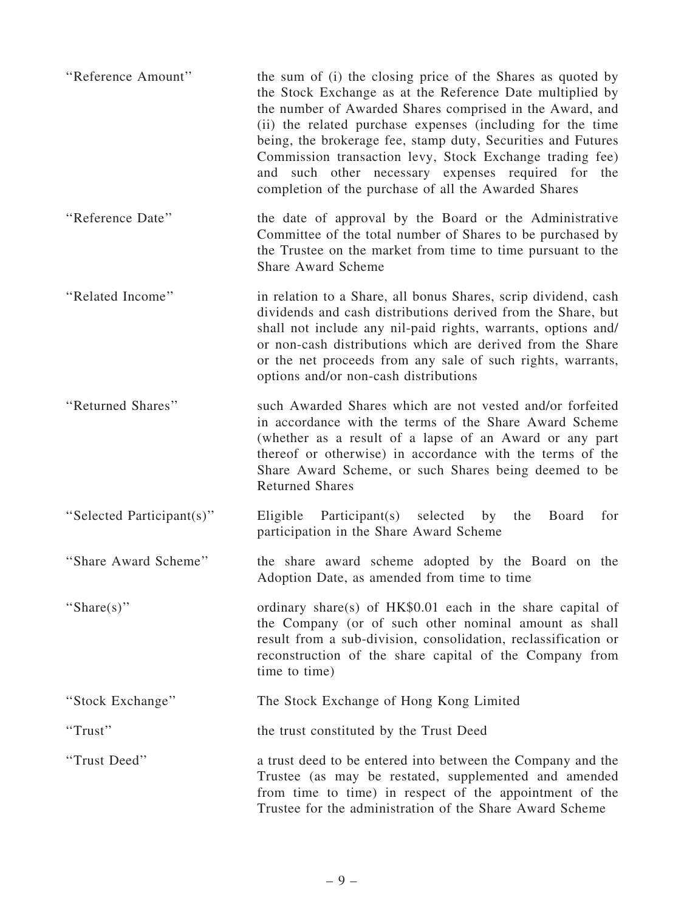| "Reference Amount"        | the sum of (i) the closing price of the Shares as quoted by<br>the Stock Exchange as at the Reference Date multiplied by<br>the number of Awarded Shares comprised in the Award, and<br>(ii) the related purchase expenses (including for the time<br>being, the brokerage fee, stamp duty, Securities and Futures<br>Commission transaction levy, Stock Exchange trading fee)<br>and such other necessary expenses required for the<br>completion of the purchase of all the Awarded Shares |
|---------------------------|----------------------------------------------------------------------------------------------------------------------------------------------------------------------------------------------------------------------------------------------------------------------------------------------------------------------------------------------------------------------------------------------------------------------------------------------------------------------------------------------|
| "Reference Date"          | the date of approval by the Board or the Administrative<br>Committee of the total number of Shares to be purchased by<br>the Trustee on the market from time to time pursuant to the<br><b>Share Award Scheme</b>                                                                                                                                                                                                                                                                            |
| "Related Income"          | in relation to a Share, all bonus Shares, scrip dividend, cash<br>dividends and cash distributions derived from the Share, but<br>shall not include any nil-paid rights, warrants, options and/<br>or non-cash distributions which are derived from the Share<br>or the net proceeds from any sale of such rights, warrants,<br>options and/or non-cash distributions                                                                                                                        |
| "Returned Shares"         | such Awarded Shares which are not vested and/or forfeited<br>in accordance with the terms of the Share Award Scheme<br>(whether as a result of a lapse of an Award or any part<br>thereof or otherwise) in accordance with the terms of the<br>Share Award Scheme, or such Shares being deemed to be<br><b>Returned Shares</b>                                                                                                                                                               |
| "Selected Participant(s)" | Eligible Participant(s) selected<br>by<br>the<br>Board<br>for<br>participation in the Share Award Scheme                                                                                                                                                                                                                                                                                                                                                                                     |
| "Share Award Scheme"      | the share award scheme adopted by the Board on the<br>Adoption Date, as amended from time to time                                                                                                                                                                                                                                                                                                                                                                                            |
| "Share $(s)$ "            | ordinary share(s) of HK\$0.01 each in the share capital of<br>the Company (or of such other nominal amount as shall<br>result from a sub-division, consolidation, reclassification or<br>reconstruction of the share capital of the Company from<br>time to time)                                                                                                                                                                                                                            |
| "Stock Exchange"          | The Stock Exchange of Hong Kong Limited                                                                                                                                                                                                                                                                                                                                                                                                                                                      |
| "Trust"                   | the trust constituted by the Trust Deed                                                                                                                                                                                                                                                                                                                                                                                                                                                      |
| "Trust Deed"              | a trust deed to be entered into between the Company and the<br>Trustee (as may be restated, supplemented and amended<br>from time to time) in respect of the appointment of the<br>Trustee for the administration of the Share Award Scheme                                                                                                                                                                                                                                                  |